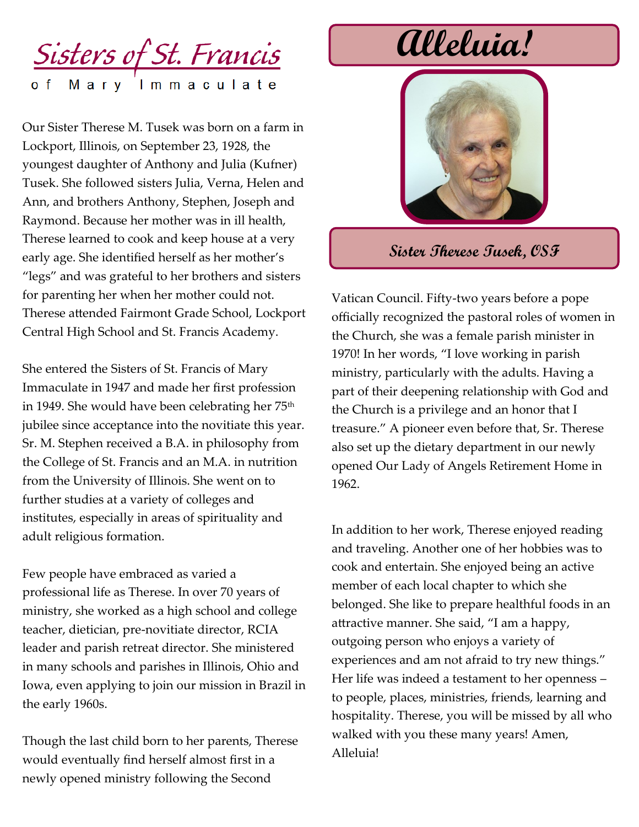## <u>Sisters of St. Francis</u> Mary Immaculate

Our Sister Therese M. Tusek was born on a farm in Lockport, Illinois, on September 23, 1928, the youngest daughter of Anthony and Julia (Kufner) Tusek. She followed sisters Julia, Verna, Helen and Ann, and brothers Anthony, Stephen, Joseph and Raymond. Because her mother was in ill health, Therese learned to cook and keep house at a very early age. She identified herself as her mother's "legs" and was grateful to her brothers and sisters for parenting her when her mother could not. Therese attended Fairmont Grade School, Lockport Central High School and St. Francis Academy.

She entered the Sisters of St. Francis of Mary Immaculate in 1947 and made her first profession in 1949. She would have been celebrating her 75<sup>th</sup> jubilee since acceptance into the novitiate this year. Sr. M. Stephen received a B.A. in philosophy from the College of St. Francis and an M.A. in nutrition from the University of Illinois. She went on to further studies at a variety of colleges and institutes, especially in areas of spirituality and adult religious formation.

Few people have embraced as varied a professional life as Therese. In over 70 years of ministry, she worked as a high school and college teacher, dietician, pre-novitiate director, RCIA leader and parish retreat director. She ministered in many schools and parishes in Illinois, Ohio and Iowa, even applying to join our mission in Brazil in the early 1960s.

Though the last child born to her parents, Therese would eventually find herself almost first in a newly opened ministry following the Second

# **Alleluia!**



### **Sister Therese Tusek, OSF**

Vatican Council. Fifty-two years before a pope officially recognized the pastoral roles of women in the Church, she was a female parish minister in 1970! In her words, "I love working in parish ministry, particularly with the adults. Having a part of their deepening relationship with God and the Church is a privilege and an honor that I treasure." A pioneer even before that, Sr. Therese also set up the dietary department in our newly opened Our Lady of Angels Retirement Home in 1962.

In addition to her work, Therese enjoyed reading and traveling. Another one of her hobbies was to cook and entertain. She enjoyed being an active member of each local chapter to which she belonged. She like to prepare healthful foods in an attractive manner. She said, "I am a happy, outgoing person who enjoys a variety of experiences and am not afraid to try new things." Her life was indeed a testament to her openness – to people, places, ministries, friends, learning and hospitality. Therese, you will be missed by all who walked with you these many years! Amen, Alleluia!